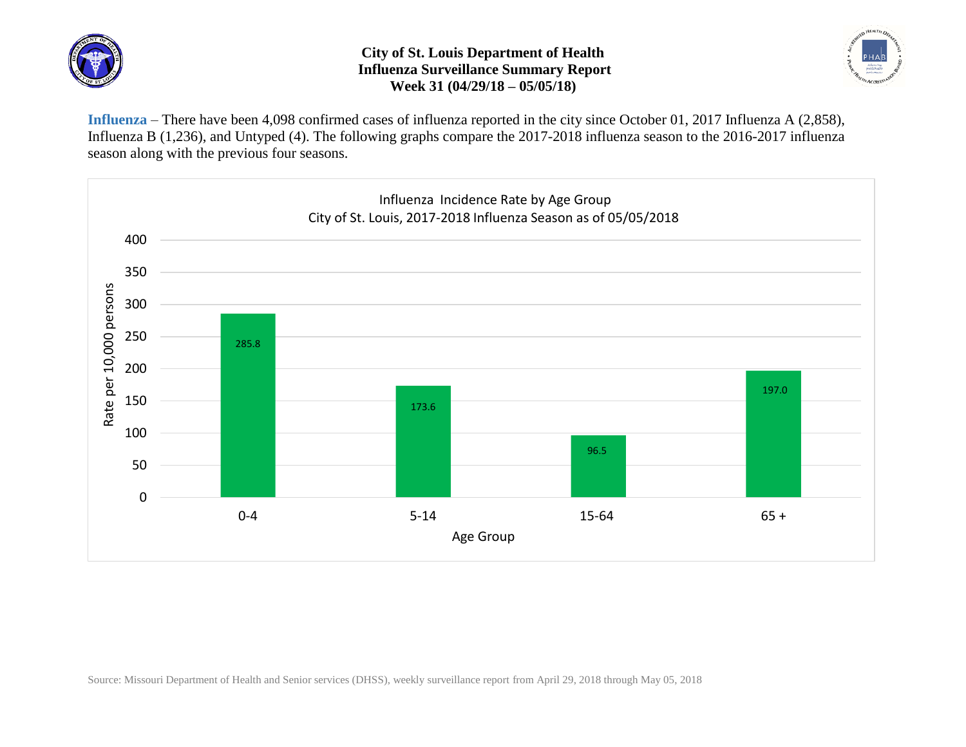

## **City of St. Louis Department of Health Influenza Surveillance Summary Report Week 31 (04/29/18 – 05/05/18)**



**Influenza** – There have been 4,098 confirmed cases of influenza reported in the city since October 01, 2017 Influenza A (2,858), Influenza B (1,236), and Untyped (4). The following graphs compare the 2017-2018 influenza season to the 2016-2017 influenza season along with the previous four seasons.